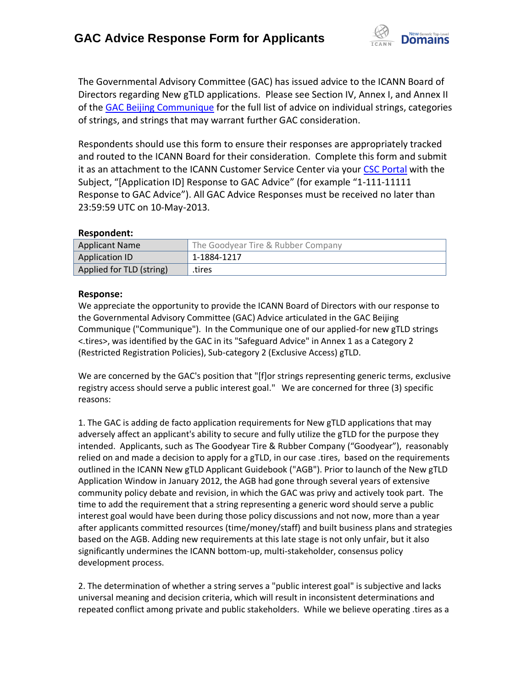

The Governmental Advisory Committee (GAC) has issued advice to the ICANN Board of Directors regarding New gTLD applications. Please see Section IV, Annex I, and Annex II of the [GAC Beijing Communique](http://www.icann.org/en/news/correspondence/gac-to-board-18apr13-en.pdf) for the full list of advice on individual strings, categories of strings, and strings that may warrant further GAC consideration.

Respondents should use this form to ensure their responses are appropriately tracked and routed to the ICANN Board for their consideration. Complete this form and submit it as an attachment to the ICANN Customer Service Center via your CSC [Portal](https://myicann.secure.force.com/) with the Subject, "[Application ID] Response to GAC Advice" (for example "1-111-11111 Response to GAC Advice"). All GAC Advice Responses must be received no later than 23:59:59 UTC on 10-May-2013.

## **Respondent:**

| <b>Applicant Name</b>    | The Goodyear Tire & Rubber Company |
|--------------------------|------------------------------------|
| Application ID           | 1-1884-1217                        |
| Applied for TLD (string) | tires.                             |

## **Response:**

We appreciate the opportunity to provide the ICANN Board of Directors with our response to the Governmental Advisory Committee (GAC) Advice articulated in the GAC Beijing Communique ("Communique"). In the Communique one of our applied-for new gTLD strings <.tires>, was identified by the GAC in its "Safeguard Advice" in Annex 1 as a Category 2 (Restricted Registration Policies), Sub-category 2 (Exclusive Access) gTLD.

We are concerned by the GAC's position that "[f]or strings representing generic terms, exclusive registry access should serve a public interest goal." We are concerned for three (3) specific reasons:

1. The GAC is adding de facto application requirements for New gTLD applications that may adversely affect an applicant's ability to secure and fully utilize the gTLD for the purpose they intended. Applicants, such as The Goodyear Tire & Rubber Company ("Goodyear"), reasonably relied on and made a decision to apply for a gTLD, in our case .tires, based on the requirements outlined in the ICANN New gTLD Applicant Guidebook ("AGB"). Prior to launch of the New gTLD Application Window in January 2012, the AGB had gone through several years of extensive community policy debate and revision, in which the GAC was privy and actively took part. The time to add the requirement that a string representing a generic word should serve a public interest goal would have been during those policy discussions and not now, more than a year after applicants committed resources (time/money/staff) and built business plans and strategies based on the AGB. Adding new requirements at this late stage is not only unfair, but it also significantly undermines the ICANN bottom-up, multi-stakeholder, consensus policy development process.

2. The determination of whether a string serves a "public interest goal" is subjective and lacks universal meaning and decision criteria, which will result in inconsistent determinations and repeated conflict among private and public stakeholders. While we believe operating .tires as a